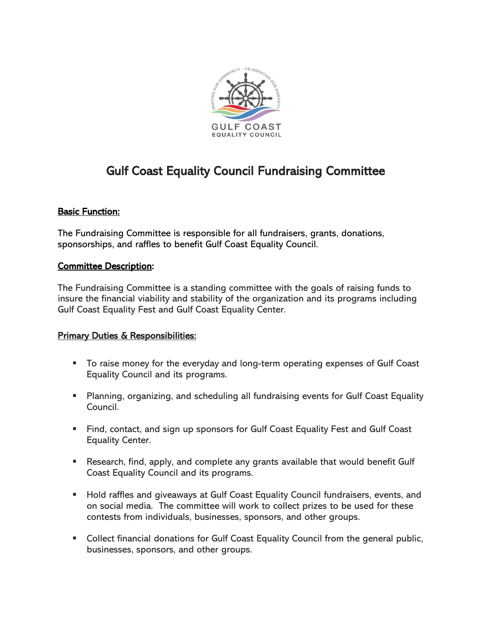

# Gulf Coast Equality Council Fundraising Committee

## Basic Function:

The Fundraising Committee is responsible for all fundraisers, grants, donations, sponsorships, and raffles to benefit Gulf Coast Equality Council.

#### Committee Description:

The Fundraising Committee is a standing committee with the goals of raising funds to insure the financial viability and stability of the organization and its programs including Gulf Coast Equality Fest and Gulf Coast Equality Center.

### **Primary Duties & Responsibilities:**

- To raise money for the everyday and long-term operating expenses of Gulf Coast Equality Council and its programs.
- **E** Planning, organizing, and scheduling all fundraising events for Gulf Coast Equality Council.
- Find, contact, and sign up sponsors for Gulf Coast Equality Fest and Gulf Coast Equality Center.
- Research, find, apply, and complete any grants available that would benefit Gulf Coast Equality Council and its programs.
- Hold raffles and giveaways at Gulf Coast Equality Council fundraisers, events, and on social media. The committee will work to collect prizes to be used for these contests from individuals, businesses, sponsors, and other groups.
- Collect financial donations for Gulf Coast Equality Council from the general public, businesses, sponsors, and other groups.